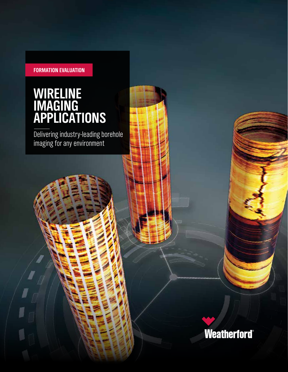#### **FORMATION EVALUATION**

### **WIRELINE IMAGING APPLICATIONS**

Delivering industry-leading borehole imaging for any environment

**Weatherford®**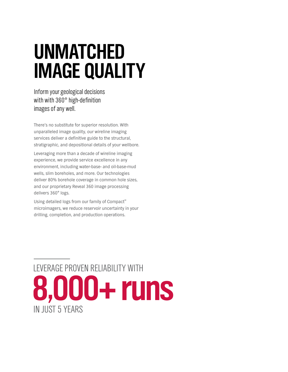# **UNMATCHED IMAGE QUALITY**

Inform your geological decisions with with 360° high-definition images of any well.

There's no substitute for superior resolution. With unparalleled image quality, our wireline imaging services deliver a definitive guide to the structural, stratigraphic, and depositional details of your wellbore.

Leveraging more than a decade of wireline imaging experience, we provide service excellence in any environment, including water-base- and oil-base-mud wells, slim boreholes, and more. Our technologies deliver 80% borehole coverage in common hole sizes, and our proprietary Reveal 360 image processing delivers 360° logs.

Using detailed logs from our family of Compact<sup>™</sup> microimagers, we reduce reservoir uncertainty in your drilling, completion, and production operations.

## LEVERAGE PROVEN RELIABILITY WITH  **8,000+ runs** IN JUST 5 YEARS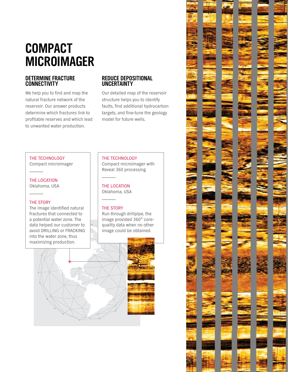### **COMPACT MICROIMAGER**

#### **DETERMINE FRACTURE CONNECTIVITY**

We help you to find and map the natural fracture network of the reservoir. Our answer products determine which fractures link to profitable reserves and which lead to unwanted water production.

#### **REDUCE DEPOSITIONAL UNCERTAINTY**

Our detailed map of the reservoir structure helps you to identify faults, find additional hydrocarbon targets, and fine-tune the geology model for future wells.

#### THE TECHNOLOGY Compact microimager

–––––––– THE LOCATION

Oklahoma, USA

#### THE STORY

––––––––

The image identified natural fractures that connected to a potential water zone. The data helped our customer to avoid DRILLING or FRACKING into the water zone, thus maximizing production.

#### THE TECHNOLOGY

Compact microimager with Reveal 360 processing

THE LOCATION Oklahoma, USA

#### THE STORY

––––––––

––––––––

Run through drillpipe, the image provided 360° corequality data when no other image could be obtained.



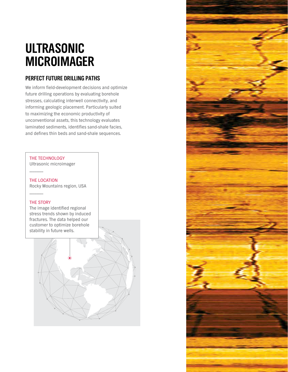### **ULTRASONIC MICROIMAGER**

#### **PERFECT FUTURE DRILLING PATHS**

We inform field-development decisions and optimize future drilling operations by evaluating borehole stresses, calculating interwell connectivity, and informing geologic placement. Particularly suited to maximizing the economic productivity of unconventional assets, this technology evaluates laminated sediments, identifies sand-shale facies, and defines thin beds and sand-shale sequences.

#### THE TECHNOLOGY

Ultrasonic microimager

THE LOCATION Rocky Mountains region, USA

#### THE STORY

––––––––

––––––––

The image identified regional stress trends shown by induced fractures. The data helped our customer to optimize borehole stability in future wells.

![](_page_3_Picture_8.jpeg)

![](_page_3_Picture_9.jpeg)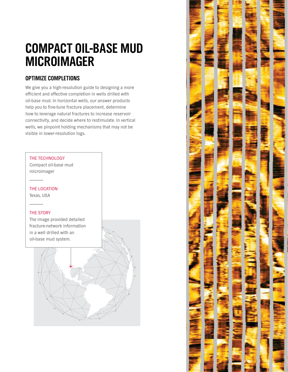### **COMPACT OIL-BASE MUD MICROIMAGER**

#### **OPTIMIZE COMPLETIONS**

We give you a high-resolution guide to designing a more efficient and effective completion in wells drilled with oil-base mud. In horizontal wells, our answer products help you to fine-tune fracture placement, determine how to leverage natural fractures to increase reservoir connectivity, and decide where to restimulate. In vertical wells, we pinpoint holding mechanisms that may not be visible in lower-resolution logs.

![](_page_4_Figure_3.jpeg)

![](_page_4_Picture_4.jpeg)